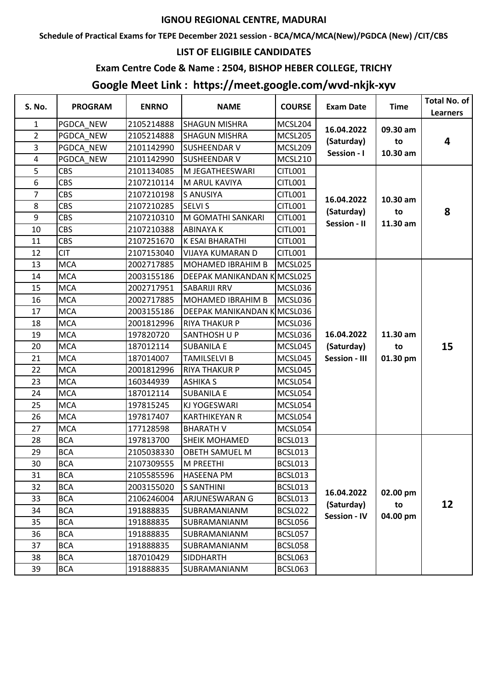## **IGNOU REGIONAL CENTRE, MADURAI**

**Schedule of Practical Exams for TEPE December 2021 session - BCA/MCA/MCA(New)/PGDCA (New) /CIT/CBS**

#### **LIST OF ELIGIBILE CANDIDATES**

### **Exam Centre Code & Name : 2504, BISHOP HEBER COLLEGE, TRICHY**

# **Google Meet Link : https://meet.google.com/wvd-nkjk-xyv**

| S. No.           | <b>PROGRAM</b> | <b>ENRNO</b> | <b>NAME</b>                | <b>COURSE</b>  | <b>Exam Date</b>                  | <b>Time</b>    | <b>Total No. of</b><br><b>Learners</b> |
|------------------|----------------|--------------|----------------------------|----------------|-----------------------------------|----------------|----------------------------------------|
| 1                | PGDCA NEW      | 2105214888   | <b>SHAGUN MISHRA</b>       | MCSL204        | 16.04.2022                        | 09.30 am       |                                        |
| $\overline{2}$   | PGDCA NEW      | 2105214888   | <b>SHAGUN MISHRA</b>       | MCSL205        |                                   |                |                                        |
| 3                | PGDCA NEW      | 2101142990   | <b>SUSHEENDAR V</b>        | MCSL209        | (Saturday)                        | to             | 4                                      |
| 4                | PGDCA NEW      | 2101142990   | <b>SUSHEENDAR V</b>        | MCSL210        | Session - I                       | 10.30 am       |                                        |
| 5                | <b>CBS</b>     | 2101134085   | M JEGATHEESWARI            | <b>CITL001</b> |                                   |                |                                        |
| $\boldsymbol{6}$ | <b>CBS</b>     | 2107210114   | M ARUL KAVIYA              | <b>CITL001</b> |                                   |                |                                        |
| $\overline{7}$   | <b>CBS</b>     | 2107210198   | <b>S ANUSIYA</b>           | <b>CITL001</b> | 16.04.2022                        | 10.30 am       |                                        |
| 8                | <b>CBS</b>     | 2107210285   | <b>SELVI S</b>             | <b>CITL001</b> |                                   |                | 8                                      |
| 9                | <b>CBS</b>     | 2107210310   | M GOMATHI SANKARI          | <b>CITL001</b> | (Saturday)<br><b>Session - II</b> | to<br>11.30 am |                                        |
| 10               | <b>CBS</b>     | 2107210388   | <b>ABINAYAK</b>            | <b>CITL001</b> |                                   |                |                                        |
| 11               | <b>CBS</b>     | 2107251670   | K ESAI BHARATHI            | <b>CITL001</b> |                                   |                |                                        |
| 12               | <b>CIT</b>     | 2107153040   | <b>VIJAYA KUMARAN D</b>    | <b>CITL001</b> |                                   |                |                                        |
| 13               | <b>MCA</b>     | 2002717885   | MOHAMED IBRAHIM B          | MCSL025        |                                   |                |                                        |
| 14               | <b>MCA</b>     | 2003155186   | <b>DEEPAK MANIKANDAN K</b> | MCSL025        |                                   |                |                                        |
| 15               | <b>MCA</b>     | 2002717951   | <b>SABARIJI RRV</b>        | MCSL036        |                                   |                |                                        |
| 16               | <b>MCA</b>     | 2002717885   | <b>MOHAMED IBRAHIM B</b>   | MCSL036        |                                   |                |                                        |
| 17               | <b>MCA</b>     | 2003155186   | <b>DEEPAK MANIKANDAN K</b> | MCSL036        |                                   |                |                                        |
| 18               | <b>MCA</b>     | 2001812996   | <b>RIYA THAKUR P</b>       | MCSL036        |                                   |                |                                        |
| 19               | <b>MCA</b>     | 197820720    | <b>SANTHOSH U P</b>        | MCSL036        | 16.04.2022                        | 11.30 am       |                                        |
| 20               | <b>MCA</b>     | 187012114    | <b>SUBANILA E</b>          | MCSL045        | (Saturday)                        | to             | 15                                     |
| 21               | <b>MCA</b>     | 187014007    | <b>TAMILSELVI B</b>        | MCSL045        | <b>Session - III</b>              | 01.30 pm       |                                        |
| 22               | <b>MCA</b>     | 2001812996   | <b>RIYA THAKUR P</b>       | MCSL045        |                                   |                |                                        |
| 23               | <b>MCA</b>     | 160344939    | <b>ASHIKA S</b>            | MCSL054        |                                   |                |                                        |
| 24               | <b>MCA</b>     | 187012114    | <b>SUBANILA E</b>          | MCSL054        |                                   |                |                                        |
| 25               | <b>MCA</b>     | 197815245    | KJ YOGESWARI               | MCSL054        |                                   |                |                                        |
| 26               | <b>MCA</b>     | 197817407    | <b>KARTHIKEYAN R</b>       | MCSL054        |                                   |                |                                        |
| 27               | <b>MCA</b>     | 177128598    | <b>BHARATH V</b>           | MCSL054        |                                   |                |                                        |
| 28               | <b>BCA</b>     | 197813700    | <b>SHEIK MOHAMED</b>       | BCSL013        |                                   |                |                                        |
| 29               | <b>BCA</b>     | 2105038330   | <b>OBETH SAMUEL M</b>      | BCSL013        |                                   |                |                                        |
| 30               | <b>BCA</b>     | 2107309555   | M PREETHI                  | BCSL013        |                                   |                |                                        |
| 31               | <b>BCA</b>     | 2105585596   | <b>HASEENA PM</b>          | BCSL013        |                                   |                |                                        |
| 32               | <b>BCA</b>     | 2003155020   | <b>S SANTHINI</b>          | BCSL013        | 16.04.2022                        | 02.00 pm       |                                        |
| 33               | <b>BCA</b>     | 2106246004   | <b>ARJUNESWARAN G</b>      | BCSL013        | (Saturday)                        | to             | 12                                     |
| 34               | <b>BCA</b>     | 191888835    | SUBRAMANIANM               | BCSL022        | <b>Session - IV</b>               | 04.00 pm       |                                        |
| 35               | <b>BCA</b>     | 191888835    | SUBRAMANIANM               | BCSL056        |                                   |                |                                        |
| 36               | <b>BCA</b>     | 191888835    | SUBRAMANIANM               | BCSL057        |                                   |                |                                        |
| 37               | <b>BCA</b>     | 191888835    | SUBRAMANIANM               | BCSL058        |                                   |                |                                        |
| 38               | <b>BCA</b>     | 187010429    | SIDDHARTH                  | BCSL063        |                                   |                |                                        |
| 39               | <b>BCA</b>     | 191888835    | SUBRAMANIANM               | BCSL063        |                                   |                |                                        |